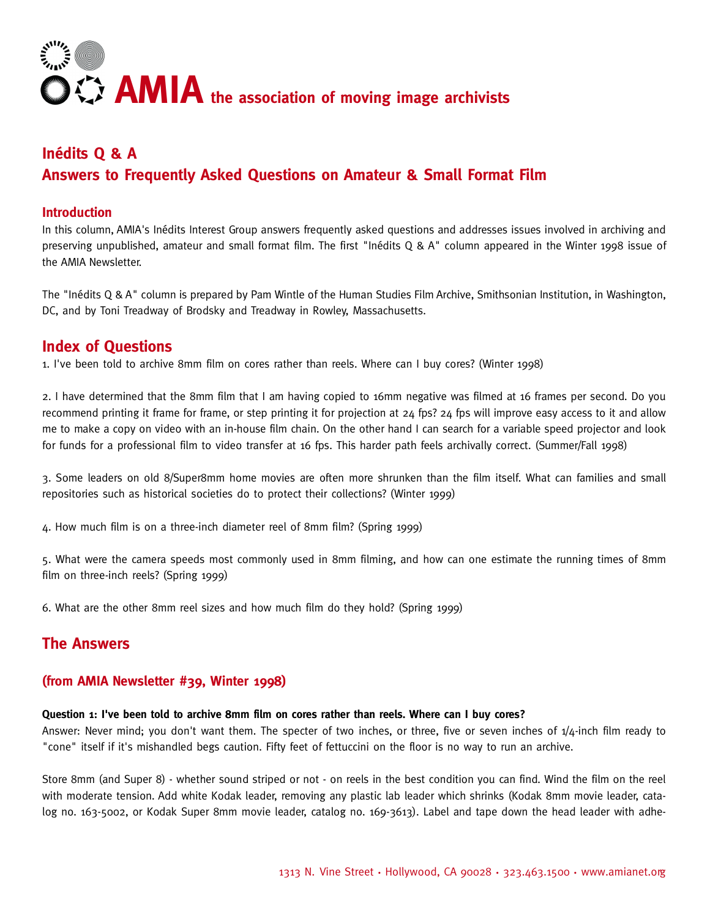

# **Inédits Q & A Answers to Frequently Asked Questions on Amateur & Small Format Film**

#### **Introduction**

In this column, AMIA's Inédits Interest Group answers frequently asked questions and addresses issues involved in archiving and p reserving unpublished, amateur and small format film. The first "Inédits Q & A" column appeared in the Winter 1998 issue of the AMIA Newsletter.

The "Inédits Q & A" column is prepared by Pam Wintle of the Human Studies Film Archive, Smithsonian Institution, in Washington, DC, and by Toni Treadway of Brodsky and Treadway in Rowley, Massachusetts.

## **Index of Questions**

1. I've been told to archive 8mm film on cores rather than reels. Where can I buy cores? (Winter 1998)

2. I have determined that the 8mm film that I am having copied to 16mm negative was filmed at 16 frames per second. Do you recommend printing it frame for frame, or step printing it for projection at 24 fps? 24 fps will improve easy access to it and allow me to make a copy on video with an in-house film chain. On the other hand I can search for a variable speed projector and look for funds for a professional film to video transfer at 16 fps. This harder path feels archivally correct. (Summer/Fall 1998)

3. Some leaders on old 8/Super8mm home movies are often more shrunken than the film itself. What can families and small repositories such as historical societies do to protect their collections? (Winter 1999)

4. How much film is on a three-inch diameter reel of 8mm film? (Spring 1999)

5. What were the camera speeds most commonly used in 8mm filming, and how can one estimate the running times of 8mm film on three-inch reels? (Spring 1999)

6. What are the other 8mm reel sizes and how much film do they hold? (Spring 1999)

# **The Answers**

#### **(from AMIA Newsletter #39, Winter 1998)**

#### Question 1: I've been told to archive 8mm film on cores rather than reels. Where can I buy cores?

Answer: Never mind; you don't want them. The specter of two inches, or three, five or seven inches of  $\frac{1}{4}$ -inch film ready to "cone" itself if it's mishandled begs caution. Fifty feet of fettuccini on the floor is no way to run an archive.

Store 8mm (and Super 8) - whether sound striped or not - on reels in the best condition you can find. Wind the film on the reel with moderate tension. Add white Kodak leader, removing any plastic lab leader which shrinks (Kodak 8mm movie leader, catalog no. 163-5002, or Kodak Super 8mm movie leader, catalog no. 169-3613). Label and tape down the head leader with adhe-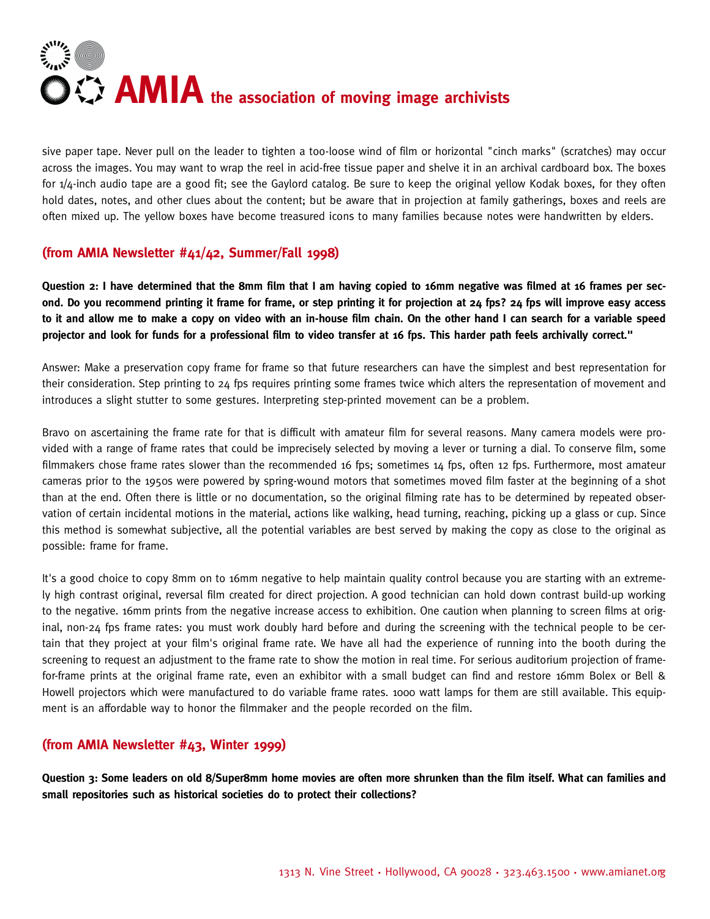

sive paper tape. Never pull on the leader to tighten a too-loose wind of film or horizontal "cinch marks" (scratches) may occur across the images. You may want to wrap the reel in acid-free tissue paper and shelve it in an archival cardboard box. The boxes for  $1/4$ -inch audio tape are a good fit; see the Gaylord catalog. Be sure to keep the original yellow Kodak boxes, for they often hold dates, notes, and other clues about the content; but be aware that in projection at family gatherings, boxes and reels are often mixed up. The yellow boxes have become treasured icons to many families because notes were handwritten by elders.

## **(from AMIA Newsletter #41/42, Summer/Fall 1998)**

**Question 2: I have determined that the 8mm film that I am having copied to 16mm negative was filmed at 16 frames per second. Do you recommend printing it frame for frame, or step printing it for projection at 24 fps? 24 fps will improve easy access** to it and allow me to make a copy on video with an in-house film chain. On the other hand I can search for a variable speed projector and look for funds for a professional film to video transfer at 16 fps. This harder path feels archivally correct."

Answer: Make a preservation copy frame for frame so that future researchers can have the simplest and best representation for their consideration. Step printing to 24 fps requires printing some frames twice which alters the representation of movement and introduces a slight stutter to some gestures. Interpreting step-printed movement can be a problem.

Bravo on ascertaining the frame rate for that is difficult with amateur film for several reasons. Many camera models were provided with a range of frame rates that could be imprecisely selected by moving a lever or turning a dial. To conserve film, some filmmakers chose frame rates slower than the recommended 16 fps; sometimes 14 fps, often 12 fps. Furthermore, most amateur cameras prior to the 1950s were powered by spring-wound motors that sometimes moved film faster at the beginning of a shot than at the end. Often there is little or no documentation, so the original filming rate has to be determined by repeated observation of certain incidental motions in the material, actions like walking, head turning, reaching, picking up a glass or cup. Since this method is somewhat subjective, all the potential variables are best served by making the copy as close to the original as possible: frame for frame.

It's a good choice to copy 8mm on to 16mm negative to help maintain quality control because you are starting with an extremely high contrast original, reversal film created for direct projection. A good technician can hold down contrast build-up working to the negative. 16mm prints from the negative increase access to exhibition. One caution when planning to screen films at original, non-24 fps frame rates: you must work doubly hard before and during the screening with the technical people to be certain that they project at your film's original frame rate. We have all had the experience of running into the booth during the screening to request an adjustment to the frame rate to show the motion in real time. For serious auditorium projection of framefor-frame prints at the original frame rate, even an exhibitor with a small budget can find and restore 16mm Bolex or Bell & Howell projectors which were manufactured to do variable frame rates. 1000 watt lamps for them are still available. This equipment is an affordable way to honor the filmmaker and the people recorded on the film.

#### **(from AMIA Newsletter #43, Winter 1999)**

**Question 3: Some leaders on old 8/Super8mm home movies are often more shrunken than the film itself. What can families and** small repositories such as historical societies do to protect their collections?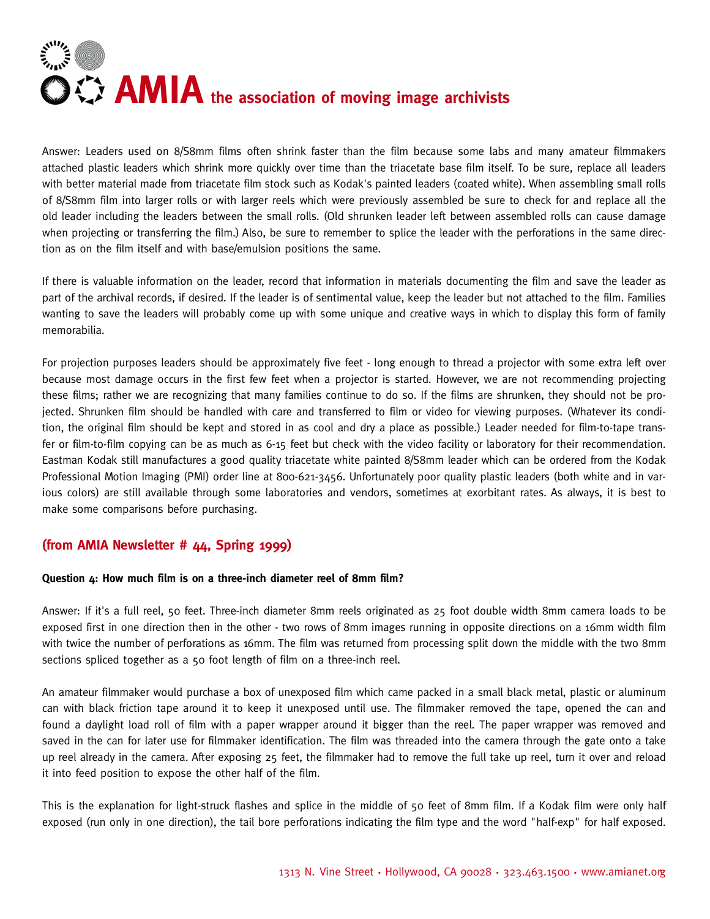

Answer: Leaders used on 8/S8mm films often shrink faster than the film because some labs and many amateur filmmakers attached plastic leaders which shrink more quickly over time than the triacetate base film itself. To be sure, replace all leaders with better material made from triacetate film stock such as Kodak's painted leaders (coated white). When assembling small rolls of 8/S8mm film into larger rolls or with larger reels which were previously assembled be sure to check for and replace all the old leader including the leaders between the small rolls. (Old shrunken leader left between assembled rolls can cause damage when projecting or transferring the film.) Also, be sure to remember to splice the leader with the perforations in the same direction as on the film itself and with base/emulsion positions the same.

If there is valuable information on the leader, record that information in materials documenting the film and save the leader as part of the archival records, if desired. If the leader is of sentimental value, keep the leader but not attached to the film. Families wanting to save the leaders will probably come up with some unique and creative ways in which to display this form of family memorabilia.

For projection purposes leaders should be approximately five feet - long enough to thread a projector with some extra left over because most damage occurs in the first few feet when a projector is started. However, we are not recommending projecting these films; rather we are recognizing that many families continue to do so. If the films are shrunken, they should not be projected. Shrunken film should be handled with care and transferred to film or video for viewing purposes. (Whatever its condition, the original film should be kept and stored in as cool and dry a place as possible.) Leader needed for film-to-tape transfer or film-to-film copying can be as much as 6-15 feet but check with the video facility or laboratory for their recommendation. Eastman Kodak still manufactures a good quality triacetate white painted 8/S8mm leader which can be ordered from the Kodak Professional Motion Imaging (PMI) order line at 800-621-3456. Unfortunately poor quality plastic leaders (both white and in various colors) are still available through some laboratories and vendors, sometimes at exorbitant rates. As always, it is best to make some comparisons before purchasing.

## **(from AMIA Newsletter # 44, Spring 1999)**

#### **Question 4: How much film is on a three-inch diameter reel of 8mm film?**

Answer: If it's a full reel, 50 feet. Three-inch diameter 8mm reels originated as 25 foot double width 8mm camera loads to be exposed first in one direction then in the other - two rows of 8mm images running in opposite directions on a 16mm width film with twice the number of perforations as 16mm. The film was returned from processing split down the middle with the two 8mm sections spliced together as a 50 foot length of film on a three-inch reel.

An amateur filmmaker would purchase a box of unexposed film which came packed in a small black metal, plastic or aluminum can with black friction tape around it to keep it unexposed until use. The filmmaker removed the tape, opened the can and found a daylight load roll of film with a paper wrapper around it bigger than the reel. The paper wrapper was removed and saved in the can for later use for filmmaker identification. The film was threaded into the camera through the gate onto a take up reel already in the camera. After exposing 25 feet, the filmmaker had to remove the full take up reel, turn it over and reload it into feed position to expose the other half of the film.

This is the explanation for light-struck flashes and splice in the middle of 50 feet of 8mm film. If a Kodak film were only half exposed (run only in one direction), the tail bore perforations indicating the film type and the word "half-exp" for half exposed.